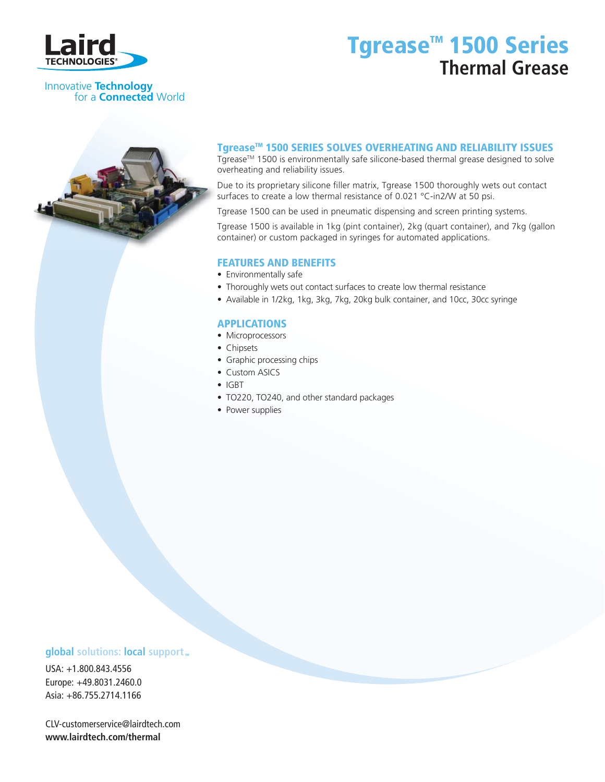

## Tgrease<sup>™</sup> 1500 Series **Thermal Grease**

#### Innovative **Technology** for a **Connected** World

### Tgrease<sup>™</sup> 1500 SERIES SOLVES OVERHEATING AND RELIABILITY ISSUES

Tgrease<sup>™</sup> 1500 is environmentally safe silicone-based thermal grease designed to solve overheating and reliability issues.

Due to its proprietary silicone filler matrix, Tgrease 1500 thoroughly wets out contact surfaces to create a low thermal resistance of 0.021 °C-in2/W at 50 psi.

Tgrease 1500 can be used in pneumatic dispensing and screen printing systems.

Tgrease 1500 is available in 1kg (pint container), 2kg (quart container), and 7kg (gallon container) or custom packaged in syringes for automated applications.

#### FEATURES AND BENEFITS

- Environmentally safe
- Thoroughly wets out contact surfaces to create low thermal resistance
- Available in 1/2kg, 1kg, 3kg, 7kg, 20kg bulk container, and 10cc, 30cc syringe

#### APPLICATIONS

- Microprocessors
- Chipsets
- Graphic processing chips
- Custom ASICS
- IGBT
- TO220, TO240, and other standard packages
- Power supplies

### **global** solutions: local support ...

USA: +1.800.843.4556 Europe: +49.8031.2460.0 Asia: +86.755.2714.1166

CLV-customerservice@lairdtech.com **www.lairdtech.com/thermal**